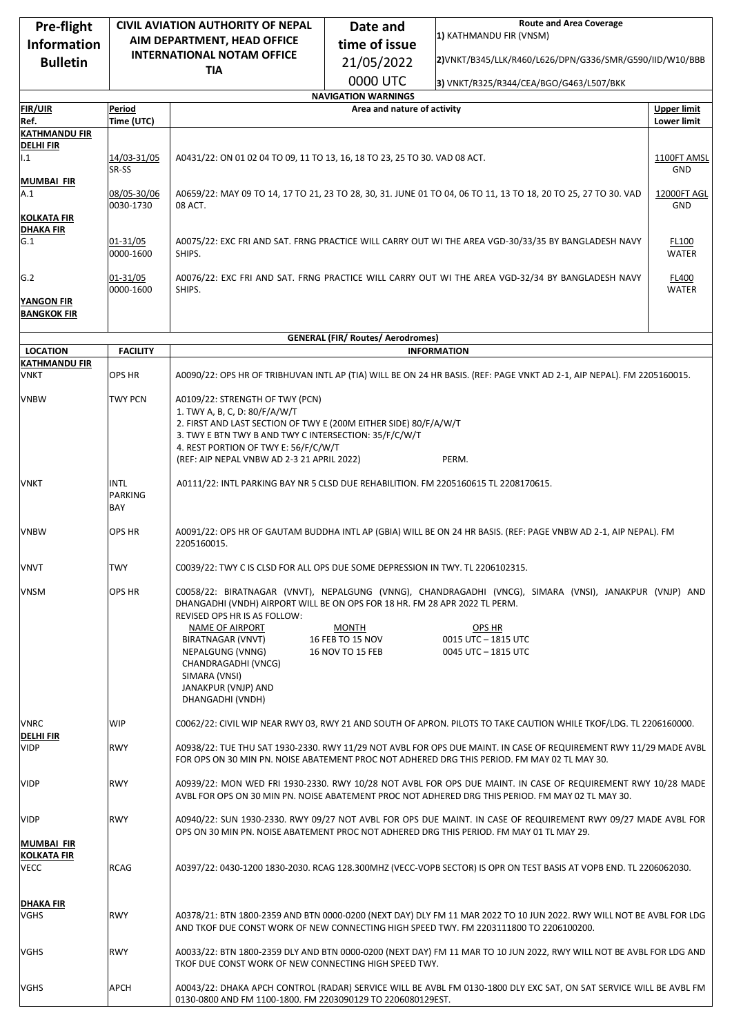| Pre-flight                               | <b>CIVIL AVIATION AUTHORITY OF NEPAL</b>    |                                                                                                                                                                                                                                                                                              | <b>Route and Area Coverage</b><br>Date and                |                                                                                                                                                                |                    |  |  |
|------------------------------------------|---------------------------------------------|----------------------------------------------------------------------------------------------------------------------------------------------------------------------------------------------------------------------------------------------------------------------------------------------|-----------------------------------------------------------|----------------------------------------------------------------------------------------------------------------------------------------------------------------|--------------------|--|--|
| <b>Information</b>                       | AIM DEPARTMENT, HEAD OFFICE                 |                                                                                                                                                                                                                                                                                              | time of issue                                             | 1) KATHMANDU FIR (VNSM)                                                                                                                                        |                    |  |  |
| <b>Bulletin</b>                          | <b>INTERNATIONAL NOTAM OFFICE</b>           |                                                                                                                                                                                                                                                                                              |                                                           | 2) VNKT/B345/LLK/R460/L626/DPN/G336/SMR/G590/IID/W10/BBB                                                                                                       |                    |  |  |
|                                          |                                             | 21/05/2022<br><b>TIA</b>                                                                                                                                                                                                                                                                     |                                                           |                                                                                                                                                                |                    |  |  |
|                                          |                                             | 0000 UTC<br>3) VNKT/R325/R344/CEA/BGO/G463/L507/BKK                                                                                                                                                                                                                                          |                                                           |                                                                                                                                                                |                    |  |  |
| <b>FIR/UIR</b>                           | Period                                      |                                                                                                                                                                                                                                                                                              | <b>NAVIGATION WARNINGS</b><br>Area and nature of activity |                                                                                                                                                                | <b>Upper limit</b> |  |  |
| Ref.                                     | Time (UTC)                                  |                                                                                                                                                                                                                                                                                              |                                                           |                                                                                                                                                                | <b>Lower limit</b> |  |  |
| <b>KATHMANDU FIR</b>                     |                                             |                                                                                                                                                                                                                                                                                              |                                                           |                                                                                                                                                                |                    |  |  |
| <b>DELHIFIR</b><br>1.1                   | 14/03-31/05<br>SR-SS                        | A0431/22: ON 01 02 04 TO 09, 11 TO 13, 16, 18 TO 23, 25 TO 30. VAD 08 ACT.                                                                                                                                                                                                                   |                                                           |                                                                                                                                                                |                    |  |  |
| <b>MUMBAI FIR</b><br>A.1                 | 08/05-30/06<br>0030-1730                    | A0659/22: MAY 09 TO 14, 17 TO 21, 23 TO 28, 30, 31. JUNE 01 TO 04, 06 TO 11, 13 TO 18, 20 TO 25, 27 TO 30. VAD<br>08 ACT.                                                                                                                                                                    |                                                           |                                                                                                                                                                |                    |  |  |
| <b>KOLKATA FIR</b><br><b>DHAKA FIR</b>   |                                             |                                                                                                                                                                                                                                                                                              |                                                           |                                                                                                                                                                |                    |  |  |
| G.1                                      | 01-31/05<br>0000-1600                       | A0075/22: EXC FRI AND SAT. FRNG PRACTICE WILL CARRY OUT WI THE AREA VGD-30/33/35 BY BANGLADESH NAVY<br>FL100<br>SHIPS.<br><b>WATER</b>                                                                                                                                                       |                                                           |                                                                                                                                                                |                    |  |  |
| G.2                                      | 01-31/05<br>0000-1600                       | A0076/22: EXC FRI AND SAT. FRNG PRACTICE WILL CARRY OUT WI THE AREA VGD-32/34 BY BANGLADESH NAVY<br>FL400<br>SHIPS.<br><b>WATER</b>                                                                                                                                                          |                                                           |                                                                                                                                                                |                    |  |  |
| <b>YANGON FIR</b><br><b>BANGKOK FIR</b>  |                                             |                                                                                                                                                                                                                                                                                              |                                                           |                                                                                                                                                                |                    |  |  |
|                                          |                                             |                                                                                                                                                                                                                                                                                              |                                                           |                                                                                                                                                                |                    |  |  |
|                                          |                                             |                                                                                                                                                                                                                                                                                              | <b>GENERAL (FIR/ Routes/ Aerodromes)</b>                  |                                                                                                                                                                |                    |  |  |
| <b>LOCATION</b><br><b>KATHMANDU FIR</b>  | <b>FACILITY</b>                             |                                                                                                                                                                                                                                                                                              |                                                           | <b>INFORMATION</b>                                                                                                                                             |                    |  |  |
| <b>VNKT</b>                              | <b>OPS HR</b>                               | A0090/22: OPS HR OF TRIBHUVAN INTL AP (TIA) WILL BE ON 24 HR BASIS. (REF: PAGE VNKT AD 2-1, AIP NEPAL). FM 2205160015.                                                                                                                                                                       |                                                           |                                                                                                                                                                |                    |  |  |
| <b>VNBW</b>                              | TWY PCN                                     | A0109/22: STRENGTH OF TWY (PCN)<br>1. TWY A, B, C, D: 80/F/A/W/T<br>2. FIRST AND LAST SECTION OF TWY E (200M EITHER SIDE) 80/F/A/W/T<br>3. TWY E BTN TWY B AND TWY C INTERSECTION: 35/F/C/W/T<br>4. REST PORTION OF TWY E: 56/F/C/W/T<br>(REF: AIP NEPAL VNBW AD 2-3 21 APRIL 2022)<br>PERM. |                                                           |                                                                                                                                                                |                    |  |  |
| <b>VNKT</b>                              | <b>INTL</b><br><b>PARKING</b><br><b>BAY</b> | A0111/22: INTL PARKING BAY NR 5 CLSD DUE REHABILITION. FM 2205160615 TL 2208170615.                                                                                                                                                                                                          |                                                           |                                                                                                                                                                |                    |  |  |
| <b>VNBW</b>                              | <b>OPS HR</b>                               | A0091/22: OPS HR OF GAUTAM BUDDHA INTL AP (GBIA) WILL BE ON 24 HR BASIS. (REF: PAGE VNBW AD 2-1, AIP NEPAL). FM<br>2205160015.                                                                                                                                                               |                                                           |                                                                                                                                                                |                    |  |  |
| <b>VNVT</b>                              | TWY                                         | C0039/22: TWY C IS CLSD FOR ALL OPS DUE SOME DEPRESSION IN TWY. TL 2206102315.                                                                                                                                                                                                               |                                                           |                                                                                                                                                                |                    |  |  |
| VNSM                                     | <b>OPS HR</b>                               | DHANGADHI (VNDH) AIRPORT WILL BE ON OPS FOR 18 HR. FM 28 APR 2022 TL PERM.<br>REVISED OPS HR IS AS FOLLOW:<br>NAME OF AIRPORT<br>BIRATNAGAR (VNVT)<br>NEPALGUNG (VNNG)                                                                                                                       | <b>MONTH</b><br>16 FEB TO 15 NOV<br>16 NOV TO 15 FEB      | C0058/22: BIRATNAGAR (VNVT), NEPALGUNG (VNNG), CHANDRAGADHI (VNCG), SIMARA (VNSI), JANAKPUR (VNJP) AND<br>OPS HR<br>0015 UTC - 1815 UTC<br>0045 UTC - 1815 UTC |                    |  |  |
|                                          |                                             | CHANDRAGADHI (VNCG)<br>SIMARA (VNSI)<br>JANAKPUR (VNJP) AND<br>DHANGADHI (VNDH)                                                                                                                                                                                                              |                                                           |                                                                                                                                                                |                    |  |  |
| <b>VNRC</b>                              | <b>WIP</b>                                  |                                                                                                                                                                                                                                                                                              |                                                           | C0062/22: CIVIL WIP NEAR RWY 03, RWY 21 AND SOUTH OF APRON. PILOTS TO TAKE CAUTION WHILE TKOF/LDG. TL 2206160000.                                              |                    |  |  |
| <b>DELHI FIR</b><br><b>VIDP</b>          | <b>RWY</b>                                  | A0938/22: TUE THU SAT 1930-2330. RWY 11/29 NOT AVBL FOR OPS DUE MAINT. IN CASE OF REQUIREMENT RWY 11/29 MADE AVBL<br>FOR OPS ON 30 MIN PN. NOISE ABATEMENT PROC NOT ADHERED DRG THIS PERIOD. FM MAY 02 TL MAY 30.                                                                            |                                                           |                                                                                                                                                                |                    |  |  |
| <b>VIDP</b>                              | <b>RWY</b>                                  | A0939/22: MON WED FRI 1930-2330. RWY 10/28 NOT AVBL FOR OPS DUE MAINT. IN CASE OF REQUIREMENT RWY 10/28 MADE<br>AVBL FOR OPS ON 30 MIN PN. NOISE ABATEMENT PROC NOT ADHERED DRG THIS PERIOD. FM MAY 02 TL MAY 30.                                                                            |                                                           |                                                                                                                                                                |                    |  |  |
| <b>VIDP</b>                              | <b>RWY</b>                                  | A0940/22: SUN 1930-2330. RWY 09/27 NOT AVBL FOR OPS DUE MAINT. IN CASE OF REQUIREMENT RWY 09/27 MADE AVBL FOR<br>OPS ON 30 MIN PN. NOISE ABATEMENT PROC NOT ADHERED DRG THIS PERIOD. FM MAY 01 TL MAY 29.                                                                                    |                                                           |                                                                                                                                                                |                    |  |  |
| MUMBAI FIR<br><b>KOLKATA FIR</b><br>VECC | <b>RCAG</b>                                 | A0397/22: 0430-1200 1830-2030. RCAG 128.300MHZ (VECC-VOPB SECTOR) IS OPR ON TEST BASIS AT VOPB END. TL 2206062030.                                                                                                                                                                           |                                                           |                                                                                                                                                                |                    |  |  |
| <b>DHAKA FIR</b><br>VGHS                 | <b>RWY</b>                                  | A0378/21: BTN 1800-2359 AND BTN 0000-0200 (NEXT DAY) DLY FM 11 MAR 2022 TO 10 JUN 2022. RWY WILL NOT BE AVBL FOR LDG<br>AND TKOF DUE CONST WORK OF NEW CONNECTING HIGH SPEED TWY. FM 2203111800 TO 2206100200.                                                                               |                                                           |                                                                                                                                                                |                    |  |  |
| VGHS                                     | <b>RWY</b>                                  | A0033/22: BTN 1800-2359 DLY AND BTN 0000-0200 (NEXT DAY) FM 11 MAR TO 10 JUN 2022, RWY WILL NOT BE AVBL FOR LDG AND<br>TKOF DUE CONST WORK OF NEW CONNECTING HIGH SPEED TWY.                                                                                                                 |                                                           |                                                                                                                                                                |                    |  |  |
| VGHS                                     | APCH                                        | A0043/22: DHAKA APCH CONTROL (RADAR) SERVICE WILL BE AVBL FM 0130-1800 DLY EXC SAT, ON SAT SERVICE WILL BE AVBL FM<br>0130-0800 AND FM 1100-1800. FM 2203090129 TO 2206080129EST.                                                                                                            |                                                           |                                                                                                                                                                |                    |  |  |